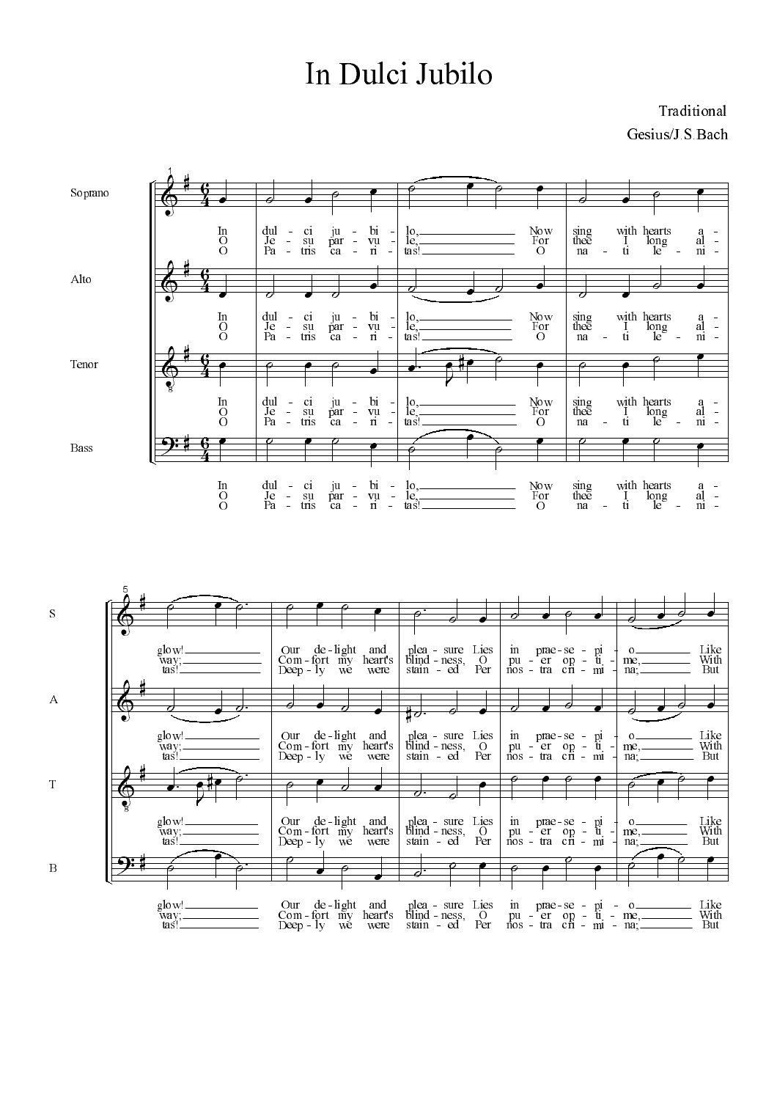## In Dulci Jubilo

Traditional Gesius/J.S.Bach



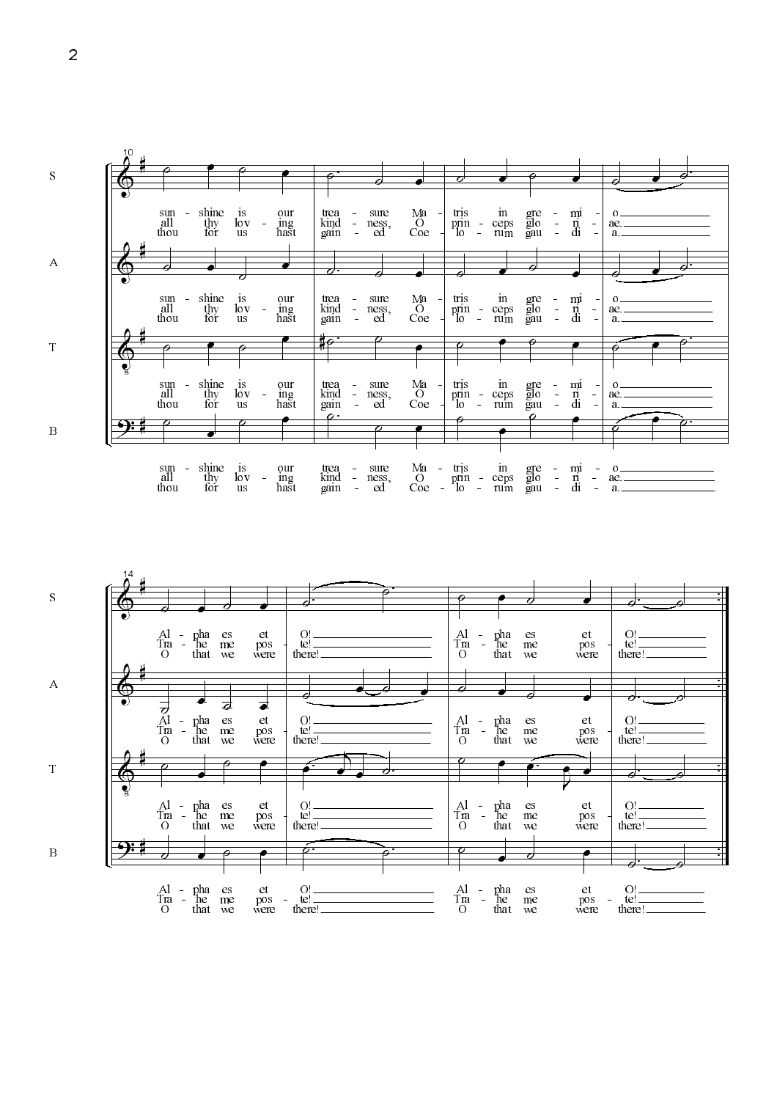



 $\overline{2}$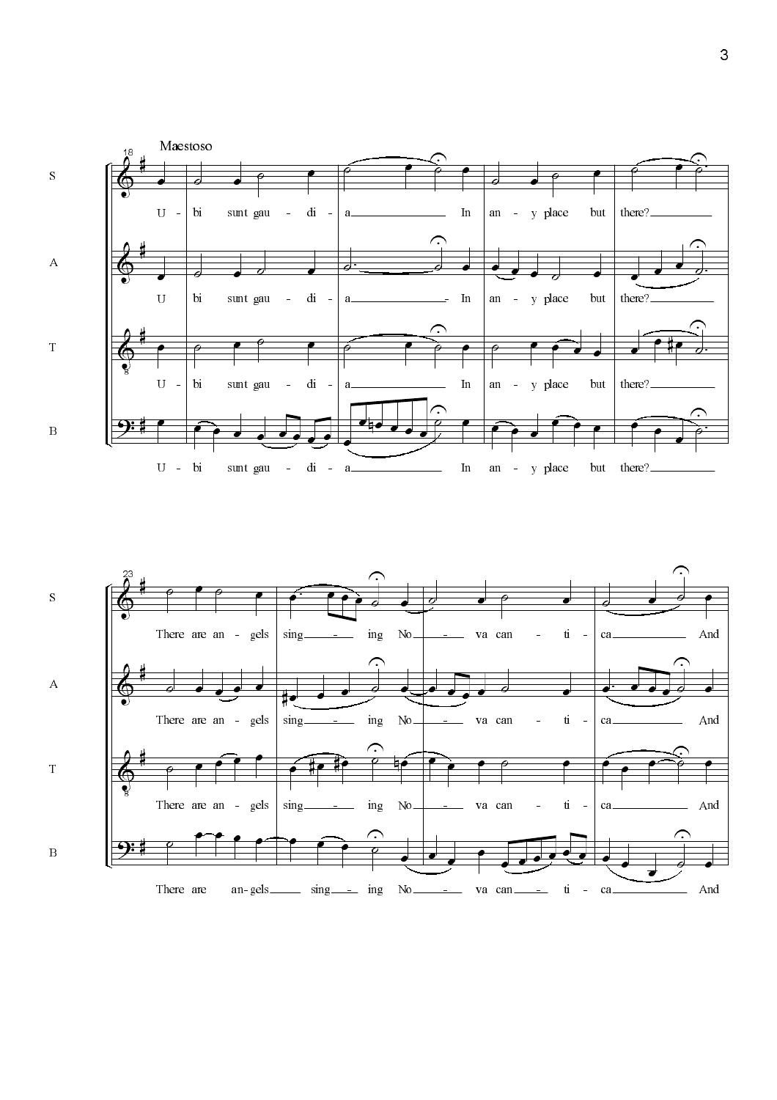